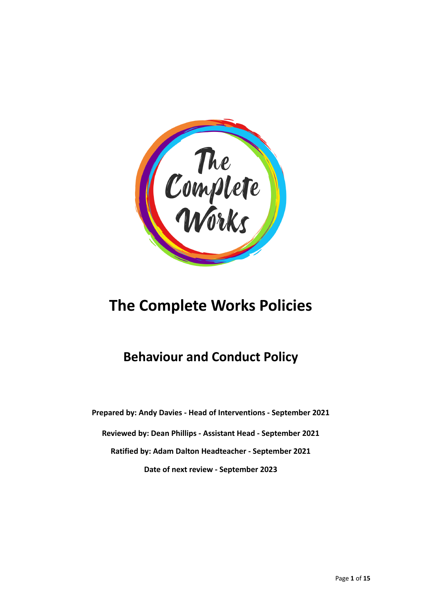

# **The Complete Works Policies**

# **Behaviour and Conduct Policy**

**Prepared by: Andy Davies - Head of Interventions - September 2021 Reviewed by: Dean Phillips - Assistant Head - September 2021 Ratified by: Adam Dalton Headteacher - September 2021 Date of next review - September 2023**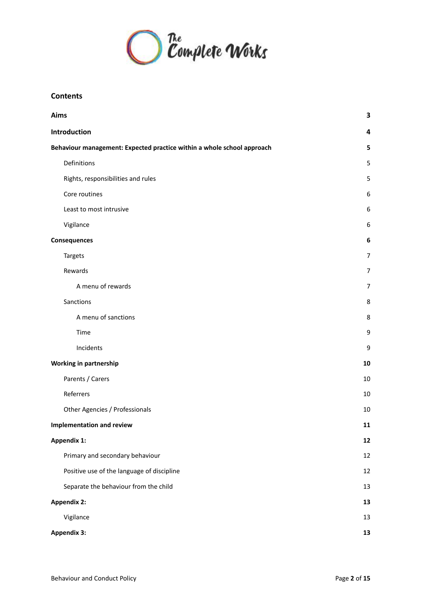

# **Contents**

| Aims                                                                   |                |  |
|------------------------------------------------------------------------|----------------|--|
| Introduction                                                           |                |  |
| Behaviour management: Expected practice within a whole school approach |                |  |
| Definitions                                                            | 5              |  |
| Rights, responsibilities and rules                                     | 5              |  |
| Core routines                                                          | 6              |  |
| Least to most intrusive                                                | 6              |  |
| Vigilance                                                              | 6              |  |
| <b>Consequences</b>                                                    | 6              |  |
| <b>Targets</b>                                                         | $\overline{7}$ |  |
| Rewards                                                                | $\overline{7}$ |  |
| A menu of rewards                                                      | $\overline{7}$ |  |
| Sanctions                                                              | 8              |  |
| A menu of sanctions                                                    | 8              |  |
| Time                                                                   | 9              |  |
| Incidents                                                              | 9              |  |
| Working in partnership                                                 |                |  |
| Parents / Carers                                                       | 10             |  |
| Referrers                                                              | 10             |  |
| Other Agencies / Professionals                                         | 10             |  |
| <b>Implementation and review</b>                                       | 11             |  |
| Appendix 1:                                                            | 12             |  |
| Primary and secondary behaviour                                        | $12\,$         |  |
| Positive use of the language of discipline                             | 12             |  |
| Separate the behaviour from the child                                  | 13             |  |
| <b>Appendix 2:</b>                                                     |                |  |
| Vigilance                                                              | 13             |  |
| <b>Appendix 3:</b>                                                     |                |  |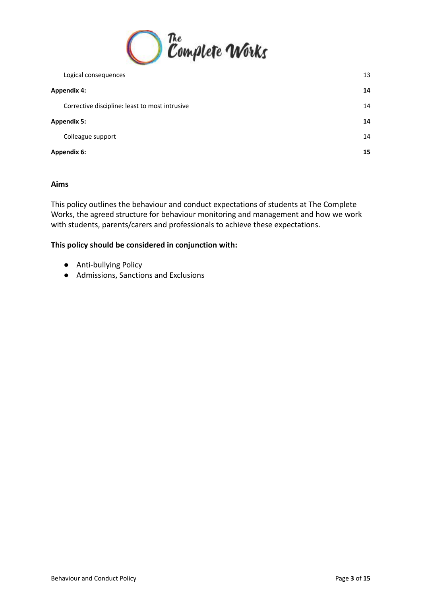

|                    | Logical consequences                           | 13 |
|--------------------|------------------------------------------------|----|
| Appendix 4:        |                                                | 14 |
|                    | Corrective discipline: least to most intrusive | 14 |
| <b>Appendix 5:</b> |                                                | 14 |
|                    | Colleague support                              | 14 |
|                    | Appendix 6:                                    | 15 |
|                    |                                                |    |

# <span id="page-2-0"></span>**Aims**

This policy outlines the behaviour and conduct expectations of students at The Complete Works, the agreed structure for behaviour monitoring and management and how we work with students, parents/carers and professionals to achieve these expectations.

# **This policy should be considered in conjunction with:**

- Anti-bullying Policy
- Admissions, Sanctions and Exclusions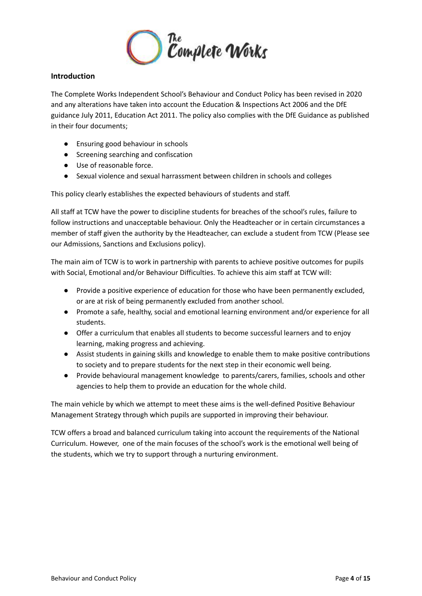

# <span id="page-3-0"></span>**Introduction**

The Complete Works Independent School's Behaviour and Conduct Policy has been revised in 2020 and any alterations have taken into account the Education & Inspections Act 2006 and the DfE guidance July 2011, Education Act 2011. The policy also complies with the DfE Guidance as published in their four documents;

- Ensuring good behaviour in schools
- Screening searching and confiscation
- Use of reasonable force.
- Sexual violence and sexual harrassment between children in schools and colleges

This policy clearly establishes the expected behaviours of students and staff.

All staff at TCW have the power to discipline students for breaches of the school's rules, failure to follow instructions and unacceptable behaviour. Only the Headteacher or in certain circumstances a member of staff given the authority by the Headteacher, can exclude a student from TCW (Please see our Admissions, Sanctions and Exclusions policy).

The main aim of TCW is to work in partnership with parents to achieve positive outcomes for pupils with Social, Emotional and/or Behaviour Difficulties. To achieve this aim staff at TCW will:

- Provide a positive experience of education for those who have been permanently excluded, or are at risk of being permanently excluded from another school.
- Promote a safe, healthy, social and emotional learning environment and/or experience for all students.
- Offer a curriculum that enables all students to become successful learners and to enjoy learning, making progress and achieving.
- Assist students in gaining skills and knowledge to enable them to make positive contributions to society and to prepare students for the next step in their economic well being.
- Provide behavioural management knowledge to parents/carers, families, schools and other agencies to help them to provide an education for the whole child.

The main vehicle by which we attempt to meet these aims is the well-defined Positive Behaviour Management Strategy through which pupils are supported in improving their behaviour.

TCW offers a broad and balanced curriculum taking into account the requirements of the National Curriculum. However, one of the main focuses of the school's work is the emotional well being of the students, which we try to support through a nurturing environment.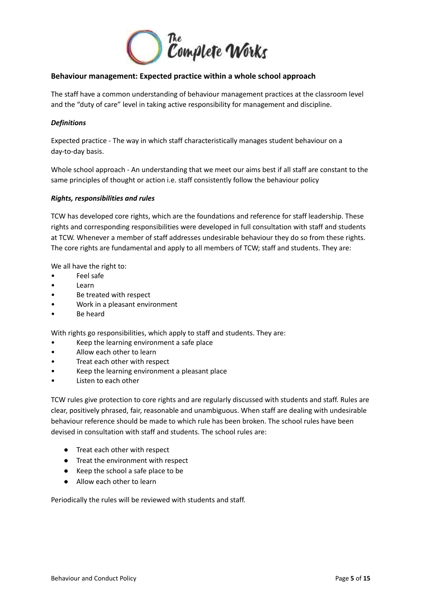

# <span id="page-4-0"></span>**Behaviour management: Expected practice within a whole school approach**

The staff have a common understanding of behaviour management practices at the classroom level and the "duty of care" level in taking active responsibility for management and discipline.

#### <span id="page-4-1"></span>*Definitions*

Expected practice - The way in which staff characteristically manages student behaviour on a day-to-day basis.

Whole school approach - An understanding that we meet our aims best if all staff are constant to the same principles of thought or action i.e. staff consistently follow the behaviour policy

#### <span id="page-4-2"></span>*Rights, responsibilities and rules*

TCW has developed core rights, which are the foundations and reference for staff leadership. These rights and corresponding responsibilities were developed in full consultation with staff and students at TCW. Whenever a member of staff addresses undesirable behaviour they do so from these rights. The core rights are fundamental and apply to all members of TCW; staff and students. They are:

We all have the right to:

- Feel safe
- Learn
- Be treated with respect
- Work in a pleasant environment
- Be heard

With rights go responsibilities, which apply to staff and students. They are:

- Keep the learning environment a safe place
- Allow each other to learn
- Treat each other with respect
- Keep the learning environment a pleasant place
- Listen to each other

TCW rules give protection to core rights and are regularly discussed with students and staff. Rules are clear, positively phrased, fair, reasonable and unambiguous. When staff are dealing with undesirable behaviour reference should be made to which rule has been broken. The school rules have been devised in consultation with staff and students. The school rules are:

- Treat each other with respect
- Treat the environment with respect
- Keep the school a safe place to be
- Allow each other to learn

Periodically the rules will be reviewed with students and staff.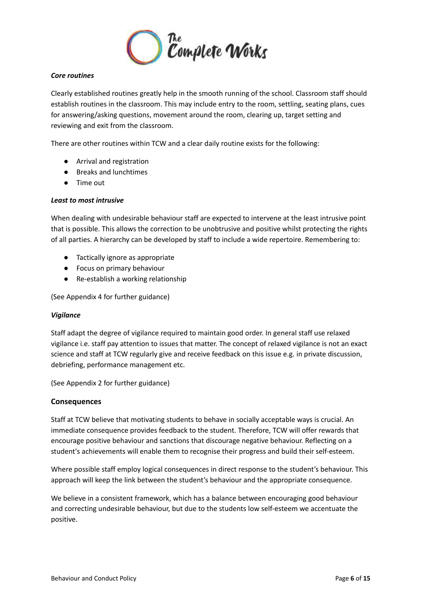

# <span id="page-5-0"></span>*Core routines*

Clearly established routines greatly help in the smooth running of the school. Classroom staff should establish routines in the classroom. This may include entry to the room, settling, seating plans, cues for answering/asking questions, movement around the room, clearing up, target setting and reviewing and exit from the classroom.

There are other routines within TCW and a clear daily routine exists for the following:

- Arrival and registration
- Breaks and lunchtimes
- Time out

# <span id="page-5-1"></span>*Least to most intrusive*

When dealing with undesirable behaviour staff are expected to intervene at the least intrusive point that is possible. This allows the correction to be unobtrusive and positive whilst protecting the rights of all parties. A hierarchy can be developed by staff to include a wide repertoire. Remembering to:

- Tactically ignore as appropriate
- Focus on primary behaviour
- Re-establish a working relationship

(See Appendix 4 for further guidance)

#### <span id="page-5-2"></span>*Vigilance*

Staff adapt the degree of vigilance required to maintain good order. In general staff use relaxed vigilance i.e. staff pay attention to issues that matter. The concept of relaxed vigilance is not an exact science and staff at TCW regularly give and receive feedback on this issue e.g. in private discussion, debriefing, performance management etc.

(See Appendix 2 for further guidance)

#### <span id="page-5-3"></span>**Consequences**

Staff at TCW believe that motivating students to behave in socially acceptable ways is crucial. An immediate consequence provides feedback to the student. Therefore, TCW will offer rewards that encourage positive behaviour and sanctions that discourage negative behaviour. Reflecting on a student's achievements will enable them to recognise their progress and build their self-esteem.

Where possible staff employ logical consequences in direct response to the student's behaviour. This approach will keep the link between the student's behaviour and the appropriate consequence.

We believe in a consistent framework, which has a balance between encouraging good behaviour and correcting undesirable behaviour, but due to the students low self-esteem we accentuate the positive.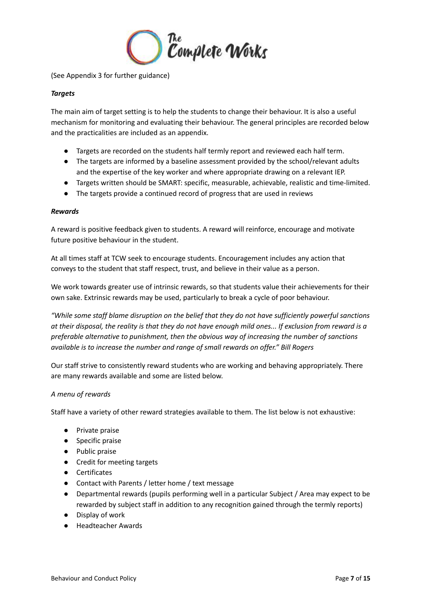

(See Appendix 3 for further guidance)

# <span id="page-6-0"></span>*Targets*

The main aim of target setting is to help the students to change their behaviour. It is also a useful mechanism for monitoring and evaluating their behaviour. The general principles are recorded below and the practicalities are included as an appendix.

- Targets are recorded on the students half termly report and reviewed each half term.
- The targets are informed by a baseline assessment provided by the school/relevant adults and the expertise of the key worker and where appropriate drawing on a relevant IEP.
- Targets written should be SMART: specific, measurable, achievable, realistic and time-limited.
- The targets provide a continued record of progress that are used in reviews

#### <span id="page-6-1"></span>*Rewards*

A reward is positive feedback given to students. A reward will reinforce, encourage and motivate future positive behaviour in the student.

At all times staff at TCW seek to encourage students. Encouragement includes any action that conveys to the student that staff respect, trust, and believe in their value as a person.

We work towards greater use of intrinsic rewards, so that students value their achievements for their own sake. Extrinsic rewards may be used, particularly to break a cycle of poor behaviour.

*"While some staff blame disruption on the belief that they do not have sufficiently powerful sanctions* at their disposal, the reality is that they do not have enough mild ones... If exclusion from reward is a *preferable alternative to punishment, then the obvious way of increasing the number of sanctions available is to increase the number and range of small rewards on offer." Bill Rogers*

Our staff strive to consistently reward students who are working and behaving appropriately. There are many rewards available and some are listed below.

#### <span id="page-6-2"></span>*A menu of rewards*

Staff have a variety of other reward strategies available to them. The list below is not exhaustive:

- Private praise
- Specific praise
- Public praise
- Credit for meeting targets
- Certificates
- Contact with Parents / letter home / text message
- Departmental rewards (pupils performing well in a particular Subject / Area may expect to be rewarded by subject staff in addition to any recognition gained through the termly reports)
- Display of work
- Headteacher Awards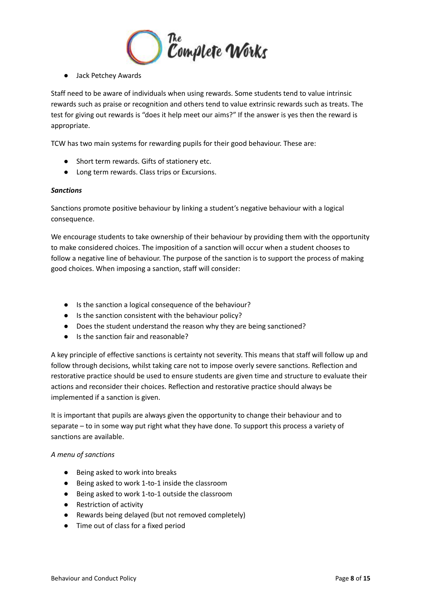

● Jack Petchey Awards

Staff need to be aware of individuals when using rewards. Some students tend to value intrinsic rewards such as praise or recognition and others tend to value extrinsic rewards such as treats. The test for giving out rewards is "does it help meet our aims?" If the answer is yes then the reward is appropriate.

TCW has two main systems for rewarding pupils for their good behaviour. These are:

- Short term rewards. Gifts of stationery etc.
- Long term rewards. Class trips or Excursions.

#### <span id="page-7-0"></span>*Sanctions*

Sanctions promote positive behaviour by linking a student's negative behaviour with a logical consequence.

We encourage students to take ownership of their behaviour by providing them with the opportunity to make considered choices. The imposition of a sanction will occur when a student chooses to follow a negative line of behaviour. The purpose of the sanction is to support the process of making good choices. When imposing a sanction, staff will consider:

- Is the sanction a logical consequence of the behaviour?
- Is the sanction consistent with the behaviour policy?
- Does the student understand the reason why they are being sanctioned?
- Is the sanction fair and reasonable?

A key principle of effective sanctions is certainty not severity. This means that staff will follow up and follow through decisions, whilst taking care not to impose overly severe sanctions. Reflection and restorative practice should be used to ensure students are given time and structure to evaluate their actions and reconsider their choices. Reflection and restorative practice should always be implemented if a sanction is given.

It is important that pupils are always given the opportunity to change their behaviour and to separate – to in some way put right what they have done. To support this process a variety of sanctions are available.

#### <span id="page-7-1"></span>*A menu of sanctions*

- Being asked to work into breaks
- Being asked to work 1-to-1 inside the classroom
- Being asked to work 1-to-1 outside the classroom
- Restriction of activity
- Rewards being delayed (but not removed completely)
- Time out of class for a fixed period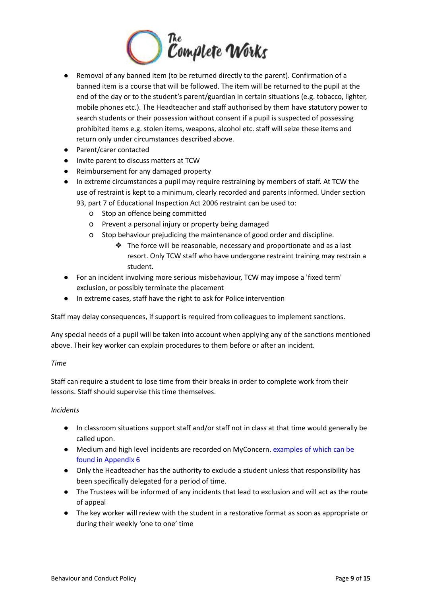

- Removal of any banned item (to be returned directly to the parent). Confirmation of a banned item is a course that will be followed. The item will be returned to the pupil at the end of the day or to the student's parent/guardian in certain situations (e.g. tobacco, lighter, mobile phones etc.). The Headteacher and staff authorised by them have statutory power to search students or their possession without consent if a pupil is suspected of possessing prohibited items e.g. stolen items, weapons, alcohol etc. staff will seize these items and return only under circumstances described above.
- Parent/carer contacted
- Invite parent to discuss matters at TCW
- Reimbursement for any damaged property
- In extreme circumstances a pupil may require restraining by members of staff. At TCW the use of restraint is kept to a minimum, clearly recorded and parents informed. Under section

93, part 7 of Educational Inspection Act 2006 restraint can be used to:

- o Stop an offence being committed
- o Prevent a personal injury or property being damaged
- o Stop behaviour prejudicing the maintenance of good order and discipline.
	- ❖ The force will be reasonable, necessary and proportionate and as a last resort. Only TCW staff who have undergone restraint training may restrain a student.
- For an incident involving more serious misbehaviour, TCW may impose a 'fixed term' exclusion, or possibly terminate the placement
- In extreme cases, staff have the right to ask for Police intervention

Staff may delay consequences, if support is required from colleagues to implement sanctions.

Any special needs of a pupil will be taken into account when applying any of the sanctions mentioned above. Their key worker can explain procedures to them before or after an incident.

#### <span id="page-8-0"></span>*Time*

Staff can require a student to lose time from their breaks in order to complete work from their lessons. Staff should supervise this time themselves.

#### <span id="page-8-1"></span>*Incidents*

- In classroom situations support staff and/or staff not in class at that time would generally be called upon.
- Medium and high level incidents are recorded on MyConcern. examples of which can be found in Appendix 6
- Only the Headteacher has the authority to exclude a student unless that responsibility has been specifically delegated for a period of time.
- The Trustees will be informed of any incidents that lead to exclusion and will act as the route of appeal
- The key worker will review with the student in a restorative format as soon as appropriate or during their weekly 'one to one' time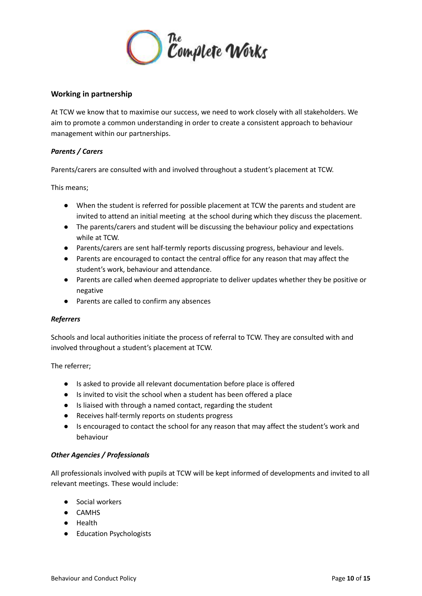

# <span id="page-9-0"></span>**Working in partnership**

At TCW we know that to maximise our success, we need to work closely with all stakeholders. We aim to promote a common understanding in order to create a consistent approach to behaviour management within our partnerships.

# <span id="page-9-1"></span>*Parents / Carers*

Parents/carers are consulted with and involved throughout a student's placement at TCW.

This means;

- When the student is referred for possible placement at TCW the parents and student are invited to attend an initial meeting at the school during which they discuss the placement.
- The parents/carers and student will be discussing the behaviour policy and expectations while at TCW.
- Parents/carers are sent half-termly reports discussing progress, behaviour and levels.
- Parents are encouraged to contact the central office for any reason that may affect the student's work, behaviour and attendance.
- Parents are called when deemed appropriate to deliver updates whether they be positive or negative
- Parents are called to confirm any absences

#### <span id="page-9-2"></span>*Referrers*

Schools and local authorities initiate the process of referral to TCW. They are consulted with and involved throughout a student's placement at TCW.

The referrer;

- Is asked to provide all relevant documentation before place is offered
- Is invited to visit the school when a student has been offered a place
- Is liaised with through a named contact, regarding the student
- Receives half-termly reports on students progress
- Is encouraged to contact the school for any reason that may affect the student's work and behaviour

#### <span id="page-9-3"></span>*Other Agencies / Professionals*

All professionals involved with pupils at TCW will be kept informed of developments and invited to all relevant meetings. These would include:

- Social workers
- CAMHS
- Health
- Education Psychologists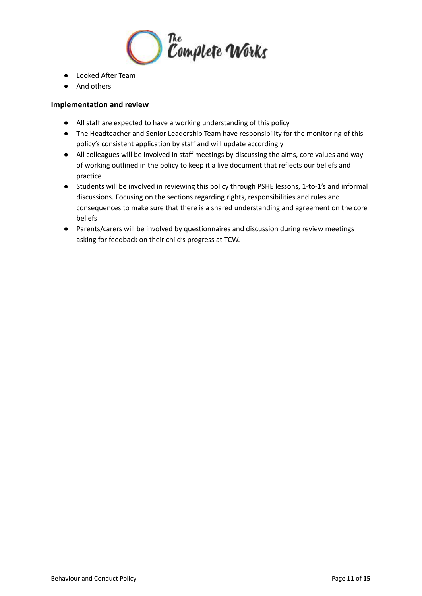

- Looked After Team
- And others

# <span id="page-10-0"></span>**Implementation and review**

- All staff are expected to have a working understanding of this policy
- The Headteacher and Senior Leadership Team have responsibility for the monitoring of this policy's consistent application by staff and will update accordingly
- All colleagues will be involved in staff meetings by discussing the aims, core values and way of working outlined in the policy to keep it a live document that reflects our beliefs and practice
- Students will be involved in reviewing this policy through PSHE lessons, 1-to-1's and informal discussions. Focusing on the sections regarding rights, responsibilities and rules and consequences to make sure that there is a shared understanding and agreement on the core beliefs
- Parents/carers will be involved by questionnaires and discussion during review meetings asking for feedback on their child's progress at TCW.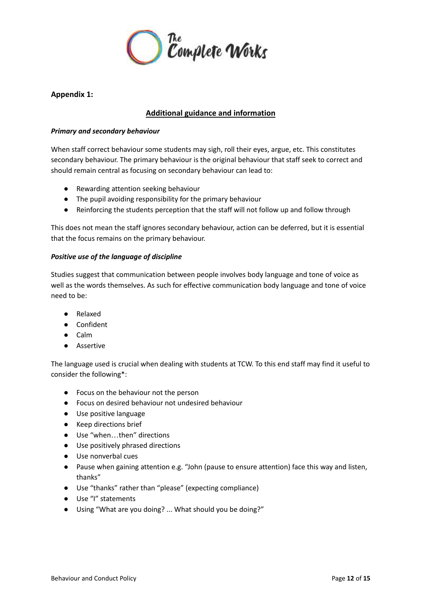

# <span id="page-11-0"></span>**Appendix 1:**

# **Additional guidance and information**

#### <span id="page-11-1"></span>*Primary and secondary behaviour*

When staff correct behaviour some students may sigh, roll their eyes, argue, etc. This constitutes secondary behaviour. The primary behaviour is the original behaviour that staff seek to correct and should remain central as focusing on secondary behaviour can lead to:

- Rewarding attention seeking behaviour
- The pupil avoiding responsibility for the primary behaviour
- Reinforcing the students perception that the staff will not follow up and follow through

This does not mean the staff ignores secondary behaviour, action can be deferred, but it is essential that the focus remains on the primary behaviour.

# <span id="page-11-2"></span>*Positive use of the language of discipline*

Studies suggest that communication between people involves body language and tone of voice as well as the words themselves. As such for effective communication body language and tone of voice need to be:

- Relaxed
- Confident
- Calm
- Assertive

The language used is crucial when dealing with students at TCW. To this end staff may find it useful to consider the following\*:

- Focus on the behaviour not the person
- Focus on desired behaviour not undesired behaviour
- Use positive language
- Keep directions brief
- Use "when...then" directions
- Use positively phrased directions
- Use nonverbal cues
- Pause when gaining attention e.g. "John (pause to ensure attention) face this way and listen, thanks"
- Use "thanks" rather than "please" (expecting compliance)
- Use "I" statements
- Using "What are you doing? ... What should you be doing?"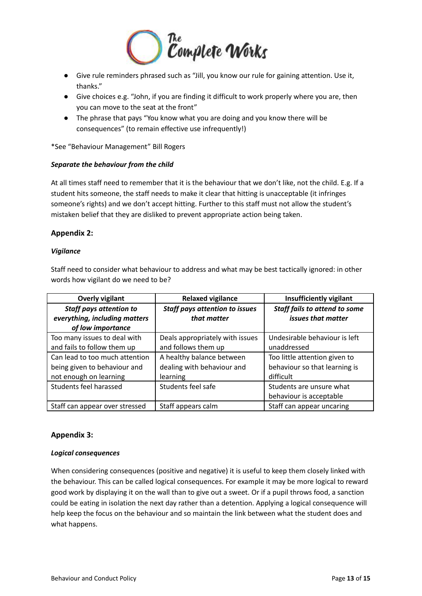

- Give rule reminders phrased such as "Jill, you know our rule for gaining attention. Use it, thanks."
- Give choices e.g. "John, if you are finding it difficult to work properly where you are, then you can move to the seat at the front"
- The phrase that pays "You know what you are doing and you know there will be consequences" (to remain effective use infrequently!)

\*See "Behaviour Management" Bill Rogers

# <span id="page-12-0"></span>*Separate the behaviour from the child*

At all times staff need to remember that it is the behaviour that we don't like, not the child. E.g. If a student hits someone, the staff needs to make it clear that hitting is unacceptable (it infringes someone's rights) and we don't accept hitting. Further to this staff must not allow the student's mistaken belief that they are disliked to prevent appropriate action being taken.

# <span id="page-12-1"></span>**Appendix 2:**

# <span id="page-12-2"></span>*Vigilance*

Staff need to consider what behaviour to address and what may be best tactically ignored: in other words how vigilant do we need to be?

| <b>Overly vigilant</b>         | <b>Relaxed vigilance</b>              | <b>Insufficiently vigilant</b>       |
|--------------------------------|---------------------------------------|--------------------------------------|
| <b>Staff pays attention to</b> | <b>Staff pays attention to issues</b> | <b>Staff fails to attend to some</b> |
| everything, including matters  | that matter                           | issues that matter                   |
| of low importance              |                                       |                                      |
| Too many issues to deal with   | Deals appropriately with issues       | Undesirable behaviour is left        |
| and fails to follow them up    | and follows them up                   | unaddressed                          |
| Can lead to too much attention | A healthy balance between             | Too little attention given to        |
| being given to behaviour and   | dealing with behaviour and            | behaviour so that learning is        |
| not enough on learning         | learning                              | difficult                            |
| Students feel harassed         | Students feel safe                    | Students are unsure what             |
|                                |                                       | behaviour is acceptable              |
| Staff can appear over stressed | Staff appears calm                    | Staff can appear uncaring            |

# <span id="page-12-3"></span>**Appendix 3:**

#### <span id="page-12-4"></span>*Logical consequences*

When considering consequences (positive and negative) it is useful to keep them closely linked with the behaviour. This can be called logical consequences. For example it may be more logical to reward good work by displaying it on the wall than to give out a sweet. Or if a pupil throws food, a sanction could be eating in isolation the next day rather than a detention. Applying a logical consequence will help keep the focus on the behaviour and so maintain the link between what the student does and what happens.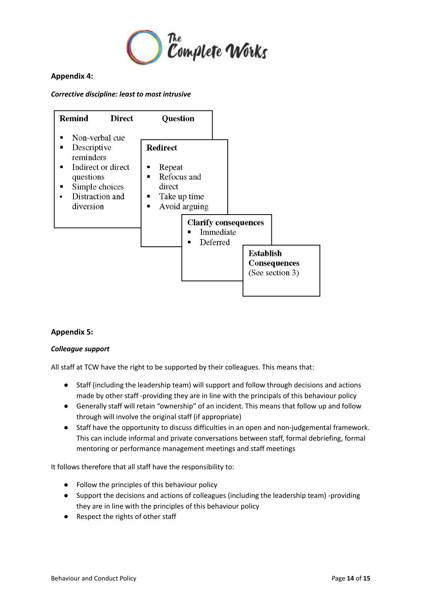

# <span id="page-13-0"></span>**Appendix 4:**

# <span id="page-13-1"></span>*Corrective discipline: least to most intrusive*



# <span id="page-13-2"></span>**Appendix 5:**

#### <span id="page-13-3"></span>*Colleague support*

All staff at TCW have the right to be supported by their colleagues. This means that:

- Staff (including the leadership team) will support and follow through decisions and actions made by other staff -providing they are in line with the principals of this behaviour policy
- Generally staff will retain "ownership" of an incident. This means that follow up and follow through will involve the original staff (if appropriate)
- Staff have the opportunity to discuss difficulties in an open and non-judgemental framework. This can include informal and private conversations between staff, formal debriefing, formal mentoring or performance management meetings and staff meetings

It follows therefore that all staff have the responsibility to:

- Follow the principles of this behaviour policy
- Support the decisions and actions of colleagues (including the leadership team) -providing they are in line with the principles of this behaviour policy
- Respect the rights of other staff